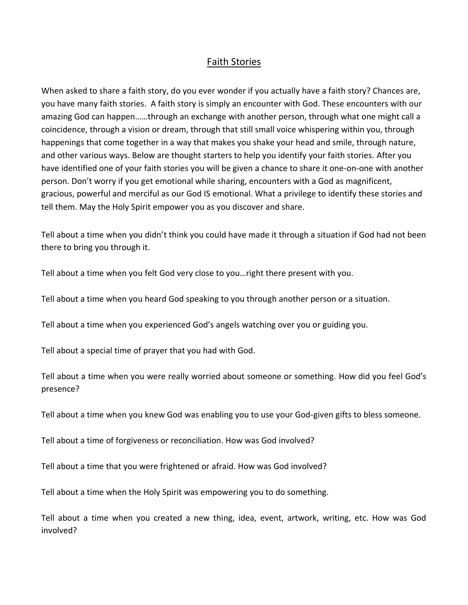## Faith Stories

When asked to share a faith story, do you ever wonder if you actually have a faith story? Chances are, you have many faith stories. A faith story is simply an encounter with God. These encounters with our amazing God can happen……through an exchange with another person, through what one might call a coincidence, through a vision or dream, through that still small voice whispering within you, through happenings that come together in a way that makes you shake your head and smile, through nature, and other various ways. Below are thought starters to help you identify your faith stories. After you have identified one of your faith stories you will be given a chance to share it one-on-one with another person. Don't worry if you get emotional while sharing, encounters with a God as magnificent, gracious, powerful and merciful as our God IS emotional. What a privilege to identify these stories and tell them. May the Holy Spirit empower you as you discover and share.

Tell about a time when you didn't think you could have made it through a situation if God had not been there to bring you through it.

Tell about a time when you felt God very close to you…right there present with you.

Tell about a time when you heard God speaking to you through another person or a situation.

Tell about a time when you experienced God's angels watching over you or guiding you.

Tell about a special time of prayer that you had with God.

Tell about a time when you were really worried about someone or something. How did you feel God's presence?

Tell about a time when you knew God was enabling you to use your God-given gifts to bless someone.

Tell about a time of forgiveness or reconciliation. How was God involved?

Tell about a time that you were frightened or afraid. How was God involved?

Tell about a time when the Holy Spirit was empowering you to do something.

Tell about a time when you created a new thing, idea, event, artwork, writing, etc. How was God involved?